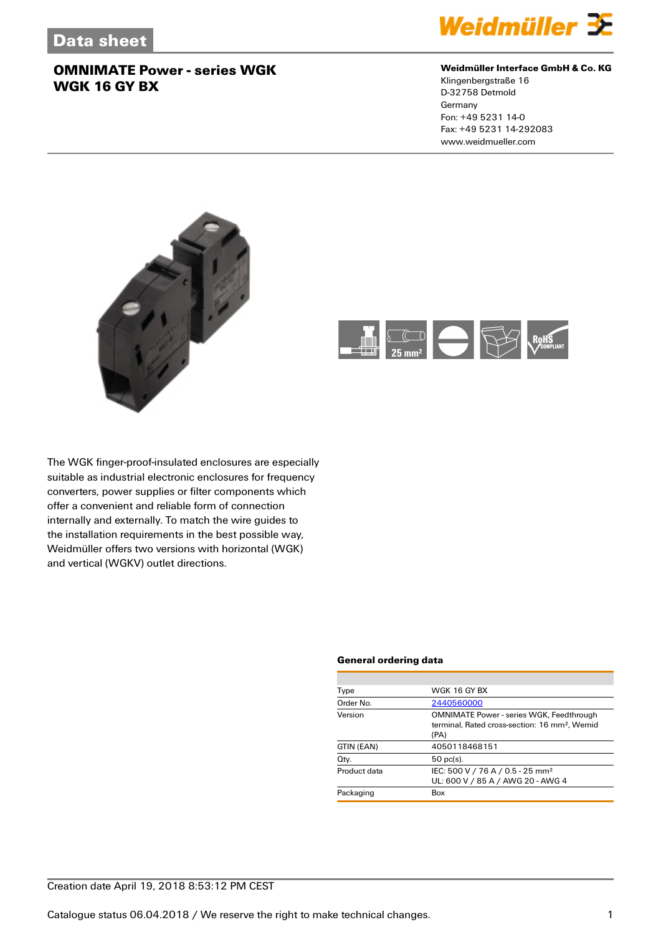

#### **Weidmüller Interface GmbH & Co. KG**

Klingenbergstraße 16 D-32758 Detmold Germany Fon: +49 5231 14-0 Fax: +49 5231 14-292083 www.weidmueller.com





The WGK finger-proof-insulated enclosures are especially suitable as industrial electronic enclosures for frequency converters, power supplies or filter components which offer a convenient and reliable form of connection internally and externally. To match the wire guides to the installation requirements in the best possible way, Weidmüller offers two versions with horizontal (WGK) and vertical (WGKV) outlet directions.

#### **General ordering data**

| Type         | WGK 16 GY BX                                                                                                         |
|--------------|----------------------------------------------------------------------------------------------------------------------|
| Order No.    | 2440560000                                                                                                           |
| Version      | <b>OMNIMATE Power - series WGK, Feedthrough</b><br>terminal, Rated cross-section: 16 mm <sup>2</sup> , Wemid<br>(PA) |
| GTIN (EAN)   | 4050118468151                                                                                                        |
| Qty.         | $50$ pc(s).                                                                                                          |
| Product data | IEC: 500 V / 76 A / 0.5 - 25 mm <sup>2</sup><br>UL: 600 V / 85 A / AWG 20 - AWG 4                                    |
| Packaging    | Box                                                                                                                  |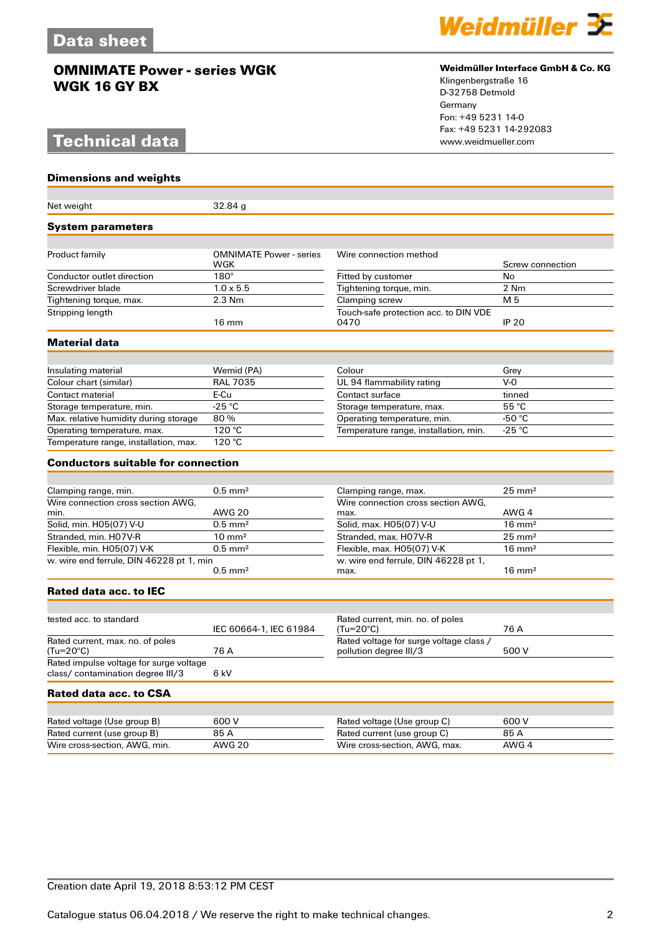# **Technical data**

**Dimensions and weights**



#### **Weidmüller Interface GmbH & Co. KG**

Klingenbergstraße 16 D-32758 Detmold Germany Fon: +49 5231 14-0 Fax: +49 5231 14-292083

| Net weight                                 | 32.84g                                |                                                              |                   |
|--------------------------------------------|---------------------------------------|--------------------------------------------------------------|-------------------|
| <b>System parameters</b>                   |                                       |                                                              |                   |
|                                            |                                       |                                                              |                   |
| Product family                             | <b>OMNIMATE Power - series</b><br>WGK | Wire connection method                                       | Screw connection  |
| Conductor outlet direction                 | $180^\circ$                           | Fitted by customer                                           | <b>No</b>         |
| Screwdriver blade                          | $1.0\times5.5$                        | Tightening torque, min.                                      | 2 Nm              |
| Tightening torque, max.                    | $2.3$ Nm                              | Clamping screw                                               | M <sub>5</sub>    |
| Stripping length                           | $16 \text{ mm}$                       | Touch-safe protection acc. to DIN VDE<br>0470                | <b>IP 20</b>      |
| <b>Material data</b>                       |                                       |                                                              |                   |
|                                            |                                       |                                                              |                   |
| Insulating material                        | Wemid (PA)                            | Colour                                                       | Grey              |
| Colour chart (similar)                     | <b>RAL 7035</b>                       | UL 94 flammability rating                                    | $V-0$             |
| Contact material                           | E-Cu                                  | Contact surface                                              | tinned            |
| Storage temperature, min.                  | $-25 °C$                              | Storage temperature, max.                                    | 55 °C             |
| Max. relative humidity during storage      | 80%                                   | Operating temperature, min.                                  | -50 $^{\circ}$ C  |
| Operating temperature, max.                | 120 °C                                | Temperature range, installation, min.                        | -25 °C            |
| Temperature range, installation, max.      | 120 °C                                |                                                              |                   |
| <b>Conductors suitable for connection</b>  |                                       |                                                              |                   |
|                                            |                                       |                                                              |                   |
| Clamping range, min.                       | $0.5$ mm <sup>2</sup>                 | Clamping range, max.                                         | $25 \text{ mm}^2$ |
| Wire connection cross section AWG.<br>min. | <b>AWG 20</b>                         | Wire connection cross section AWG,<br>max.                   | AWG 4             |
| Solid, min. H05(07) V-U                    | $0.5$ mm <sup>2</sup>                 | Solid, max. H05(07) V-U                                      | $16 \text{ mm}^2$ |
| Stranded, min. H07V-R                      | $10 \text{ mm}^2$                     | Stranded, max. H07V-R                                        | $25 \text{ mm}^2$ |
| Flexible, min. H05(07) V-K                 | $0.5$ mm <sup>2</sup>                 | Flexible, max. H05(07) V-K                                   | $16 \text{ mm}^2$ |
| w. wire end ferrule, DIN 46228 pt 1, min   |                                       | w. wire end ferrule, DIN 46228 pt 1,                         |                   |
|                                            | $0.5$ mm <sup>2</sup>                 | max.                                                         | $16 \text{ mm}^2$ |
| Rated data acc. to IEC                     |                                       |                                                              |                   |
|                                            |                                       |                                                              |                   |
| tested acc. to standard                    | IEC 60664-1, IEC 61984                | Rated current, min. no. of poles<br>$(Tu=20^{\circ}C)$       | 76 A              |
| Rated current, max. no. of poles           |                                       | Rated voltage for surge voltage class /                      |                   |
| (Tu=20°C)                                  | 76 A                                  | pollution degree III/3                                       | 500 V             |
| Rated impulse voltage for surge voltage    |                                       |                                                              |                   |
| class/ contamination degree III/3          | 6 kV                                  |                                                              |                   |
| Rated data acc. to CSA                     |                                       |                                                              |                   |
|                                            |                                       |                                                              |                   |
| Rated voltage (Use group B)                | 600 V                                 | Rated voltage (Use group C)                                  | 600 V             |
| Rated current (use group B)                | 85 A<br><b>AWG 20</b>                 | Rated current (use group C)<br>Wire cross-section, AWG, max. | 85 A<br>AWG 4     |
| Wire cross-section, AWG, min.              |                                       |                                                              |                   |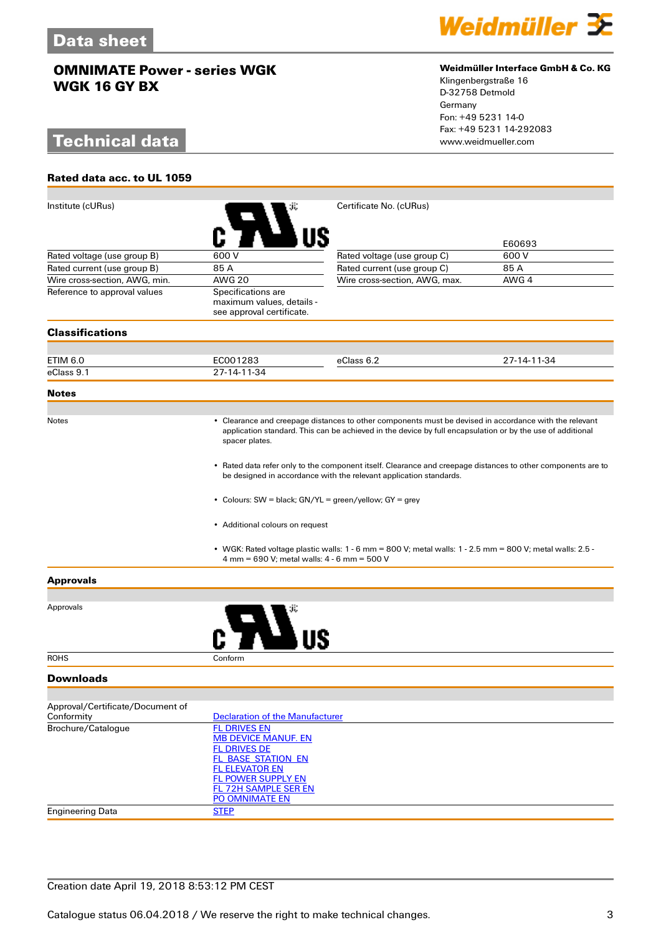# **Technical data**

**Rated data acc. to UL 1059**



#### **Weidmüller Interface GmbH & Co. KG**

Klingenbergstraße 16 D-32758 Detmold Germany Fon: +49 5231 14-0 Fax: +49 5231 14-292083

| Institute (cURus)                              |                                                                                                                                                                                                                                                                                                                                                                                                                                                                                                                           | Certificate No. (cURus)                                                                                       |             |  |
|------------------------------------------------|---------------------------------------------------------------------------------------------------------------------------------------------------------------------------------------------------------------------------------------------------------------------------------------------------------------------------------------------------------------------------------------------------------------------------------------------------------------------------------------------------------------------------|---------------------------------------------------------------------------------------------------------------|-------------|--|
|                                                |                                                                                                                                                                                                                                                                                                                                                                                                                                                                                                                           |                                                                                                               |             |  |
|                                                |                                                                                                                                                                                                                                                                                                                                                                                                                                                                                                                           |                                                                                                               | E60693      |  |
| Rated voltage (use group B)                    | 600 V                                                                                                                                                                                                                                                                                                                                                                                                                                                                                                                     | Rated voltage (use group C)                                                                                   | 600 V       |  |
| Rated current (use group B)                    | 85 A                                                                                                                                                                                                                                                                                                                                                                                                                                                                                                                      | Rated current (use group C)                                                                                   | 85 A        |  |
| Wire cross-section, AWG, min.                  | <b>AWG 20</b>                                                                                                                                                                                                                                                                                                                                                                                                                                                                                                             | Wire cross-section, AWG, max.                                                                                 | AWG 4       |  |
| Reference to approval values                   | Specifications are<br>maximum values, details -<br>see approval certificate.                                                                                                                                                                                                                                                                                                                                                                                                                                              |                                                                                                               |             |  |
| <b>Classifications</b>                         |                                                                                                                                                                                                                                                                                                                                                                                                                                                                                                                           |                                                                                                               |             |  |
|                                                |                                                                                                                                                                                                                                                                                                                                                                                                                                                                                                                           |                                                                                                               |             |  |
| ETIM 6.0                                       | EC001283                                                                                                                                                                                                                                                                                                                                                                                                                                                                                                                  | eClass 6.2                                                                                                    | 27-14-11-34 |  |
| eClass 9.1                                     | 27-14-11-34                                                                                                                                                                                                                                                                                                                                                                                                                                                                                                               |                                                                                                               |             |  |
| <b>Notes</b>                                   |                                                                                                                                                                                                                                                                                                                                                                                                                                                                                                                           |                                                                                                               |             |  |
|                                                |                                                                                                                                                                                                                                                                                                                                                                                                                                                                                                                           |                                                                                                               |             |  |
| <b>Notes</b>                                   | • Clearance and creepage distances to other components must be devised in accordance with the relevant<br>application standard. This can be achieved in the device by full encapsulation or by the use of additional<br>spacer plates.<br>• Rated data refer only to the component itself. Clearance and creepage distances to other components are to<br>be designed in accordance with the relevant application standards.<br>• Colours: SW = black; GN/YL = green/yellow; GY = grey<br>• Additional colours on request |                                                                                                               |             |  |
|                                                |                                                                                                                                                                                                                                                                                                                                                                                                                                                                                                                           |                                                                                                               |             |  |
|                                                |                                                                                                                                                                                                                                                                                                                                                                                                                                                                                                                           |                                                                                                               |             |  |
|                                                |                                                                                                                                                                                                                                                                                                                                                                                                                                                                                                                           |                                                                                                               |             |  |
|                                                | 4 mm = 690 V; metal walls: 4 - 6 mm = 500 V                                                                                                                                                                                                                                                                                                                                                                                                                                                                               | • WGK: Rated voltage plastic walls: $1 - 6$ mm = 800 V; metal walls: $1 - 2.5$ mm = 800 V; metal walls: 2.5 - |             |  |
| <b>Approvals</b>                               |                                                                                                                                                                                                                                                                                                                                                                                                                                                                                                                           |                                                                                                               |             |  |
|                                                |                                                                                                                                                                                                                                                                                                                                                                                                                                                                                                                           |                                                                                                               |             |  |
| Approvals                                      |                                                                                                                                                                                                                                                                                                                                                                                                                                                                                                                           |                                                                                                               |             |  |
| <b>ROHS</b>                                    | Conform                                                                                                                                                                                                                                                                                                                                                                                                                                                                                                                   |                                                                                                               |             |  |
| <b>Downloads</b>                               |                                                                                                                                                                                                                                                                                                                                                                                                                                                                                                                           |                                                                                                               |             |  |
|                                                |                                                                                                                                                                                                                                                                                                                                                                                                                                                                                                                           |                                                                                                               |             |  |
| Approval/Certificate/Document of<br>Conformity | <b>Declaration of the Manufacturer</b>                                                                                                                                                                                                                                                                                                                                                                                                                                                                                    |                                                                                                               |             |  |
| Brochure/Catalogue                             | <b>FL DRIVES EN</b><br><b>MB DEVICE MANUF. EN</b><br><b>FL DRIVES DE</b><br><b>FL BASE STATION EN</b><br><b>FL ELEVATOR EN</b><br><b>FL POWER SUPPLY EN</b><br><b>FL 72H SAMPLE SER EN</b><br>PO OMNIMATE EN                                                                                                                                                                                                                                                                                                              |                                                                                                               |             |  |
| <b>Engineering Data</b>                        | <b>STEP</b>                                                                                                                                                                                                                                                                                                                                                                                                                                                                                                               |                                                                                                               |             |  |
|                                                |                                                                                                                                                                                                                                                                                                                                                                                                                                                                                                                           |                                                                                                               |             |  |

## Creation date April 19, 2018 8:53:12 PM CEST

Catalogue status 06.04.2018 / We reserve the right to make technical changes. 33